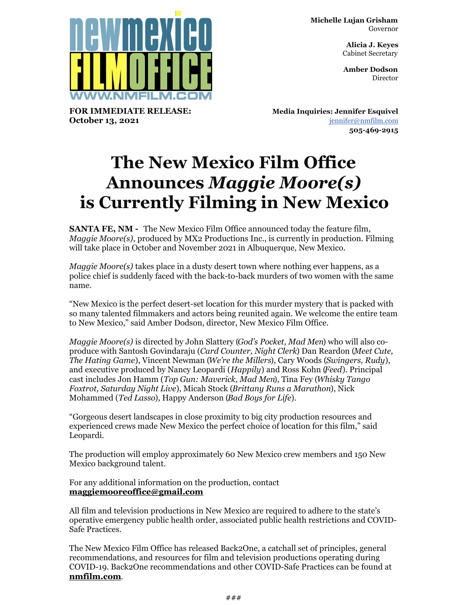**Michelle Lujan Grisham** Governor

> **Alicia J. Keyes** Cabinet Secretary

> **Amber Dodson Director**



**FOR IMMEDIATE RELEASE: October 13, 2021**

**Media Inquiries: Jennifer Esquivel** [jennifer@nmfilm.com](mailto:jennifer@nmfilm.com) **505-469-2915**

## **The New Mexico Film Office Announces** *Maggie Moore(s)* **is Currently Filming in New Mexico**

**SANTA FE, NM -** The New Mexico Film Office announced today the feature film, *Maggie Moore(s)*, produced by MX2 Productions Inc., is currently in production. Filming will take place in October and November 2021 in Albuquerque, New Mexico.

*Maggie Moore(s)* takes place in a dusty desert town where nothing ever happens, as a police chief is suddenly faced with the back-to-back murders of two women with the same name.

"New Mexico is the perfect desert-set location for this murder mystery that is packed with so many talented filmmakers and actors being reunited again. We welcome the entire team to New Mexico," said Amber Dodson, director, New Mexico Film Office.

*Maggie Moore(s)* is directed by John Slattery (*God's Pocket, Mad Men*) who will also coproduce with Santosh Govindaraju (*Card Counter, Night Clerk*) Dan Reardon (*Meet Cute, The Hating Game*), Vincent Newman (*We're the Millers*), Cary Woods (*Swingers, Rudy*), and executive produced by Nancy Leopardi (*Happily*) and Ross Kohn (*Feed*). Principal cast includes Jon Hamm (*Top Gun: Maverick, Mad Men*), Tina Fey (*Whisky Tango Foxtrot, Saturday Night Live*), Micah Stock (*Brittany Runs a Marathon*), Nick Mohammed (*Ted Lasso*), Happy Anderson (*Bad Boys for Life*).

"Gorgeous desert landscapes in close proximity to big city production resources and experienced crews made New Mexico the perfect choice of location for this film," said Leopardi.

The production will employ approximately 60 New Mexico crew members and 150 New Mexico background talent.

For any additional information on the production, contact **[maggiemooreoffice@gmail.com](mailto:maggiemooreoffice@gmail.com)**

All film and television productions in New Mexico are required to adhere to the state's operative emergency public health order, associated public health restrictions and COVID-Safe Practices.

The New Mexico Film Office has released Back2One, a catchall set of principles, general recommendations, and resources for film and television productions operating during COVID-19. Back2One recommendations and other COVID-Safe Practices can be found at **[nmfilm.com](http://nmfilm.com)**.